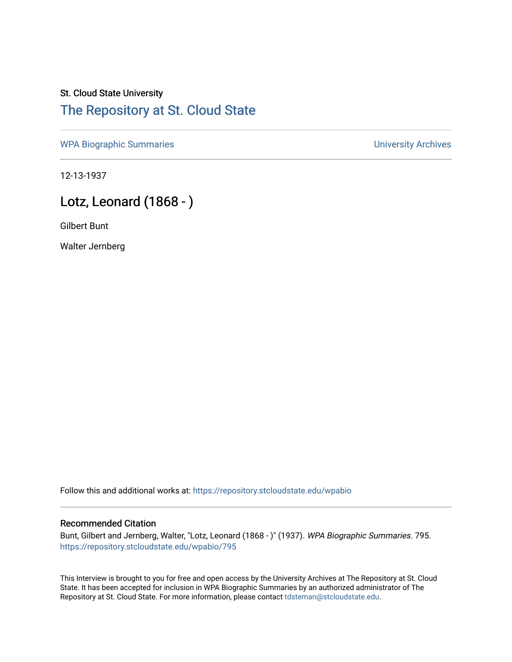## St. Cloud State University [The Repository at St. Cloud State](https://repository.stcloudstate.edu/)

[WPA Biographic Summaries](https://repository.stcloudstate.edu/wpabio) **WPA Biographic Summaries University Archives** 

12-13-1937

# Lotz, Leonard (1868 - )

Gilbert Bunt

Walter Jernberg

Follow this and additional works at: [https://repository.stcloudstate.edu/wpabio](https://repository.stcloudstate.edu/wpabio?utm_source=repository.stcloudstate.edu%2Fwpabio%2F795&utm_medium=PDF&utm_campaign=PDFCoverPages) 

#### Recommended Citation

Bunt, Gilbert and Jernberg, Walter, "Lotz, Leonard (1868 - )" (1937). WPA Biographic Summaries. 795. [https://repository.stcloudstate.edu/wpabio/795](https://repository.stcloudstate.edu/wpabio/795?utm_source=repository.stcloudstate.edu%2Fwpabio%2F795&utm_medium=PDF&utm_campaign=PDFCoverPages) 

This Interview is brought to you for free and open access by the University Archives at The Repository at St. Cloud State. It has been accepted for inclusion in WPA Biographic Summaries by an authorized administrator of The Repository at St. Cloud State. For more information, please contact [tdsteman@stcloudstate.edu.](mailto:tdsteman@stcloudstate.edu)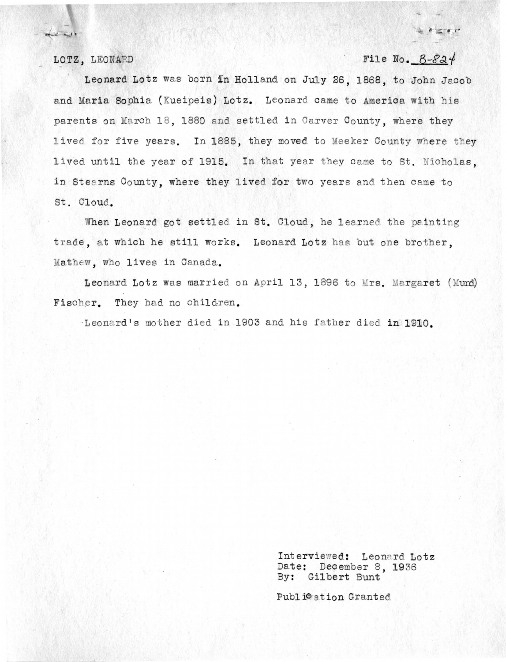## LOTZ, LEONARD **File No.**  $B-\delta 24$

Leonard Lotz was born in Holland on July 26, 1868, to John Jacob and Maria Sophia (Kueipeis) Lotz. Leonard came to America with his parents on March 18. 1880 and settled in Carver County, where they lived for five years. In 1885, they moved to Meeker County where they lived until the year of 1915. In that year they came to St. Nicholas, in Stearns County, where they lived for two years and then came to St. Cloud.

When Leonard got settled in St. Cloud, he learned the painting trade, at which he still works. Leonard Lotz has but one brother. Mathew, who lives in Canada.

Leonard Lotz was married on April 13, 1896 to Mrs. Margaret (Mund) Fischer. They had no children.

·Leonard's mother died in 1903 and his father died in 1910.

Interviewed: Leonard Lotz Date: December 8, 1936 By: Gilbert Bunt

Publ i<sup>c</sup> ation Granted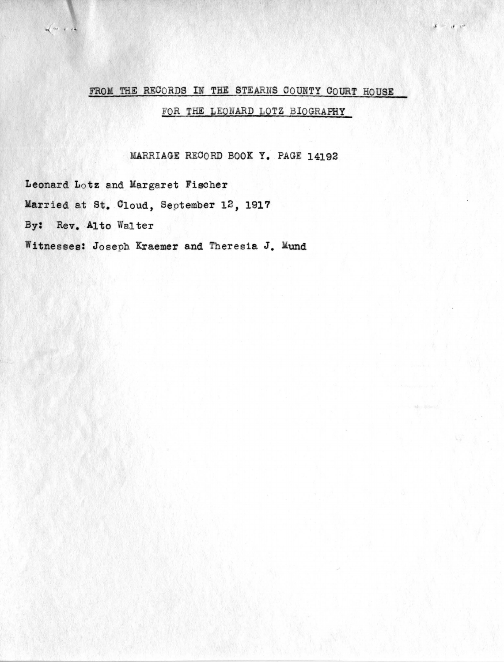### FROM THE RECORDS IN THE STEARNS COUNTY COURT HOUSE

FOR THE LEONARD LOTZ BIOGRAPHY

 $\mathbf{3}=(\mathbf{3}^{\top},\mathbf{6}^{\top})$ 

MARRIAGE RECORD BOOK Y. PAGE 14192

Leonard Lotz and Margaret Fischer Married at St. Cloud, September 12, 1917 By: Rev. Alto Walter

 $\sqrt{2}$ 

Witnesses: Joseph Kraemer and Theresia J. Mund